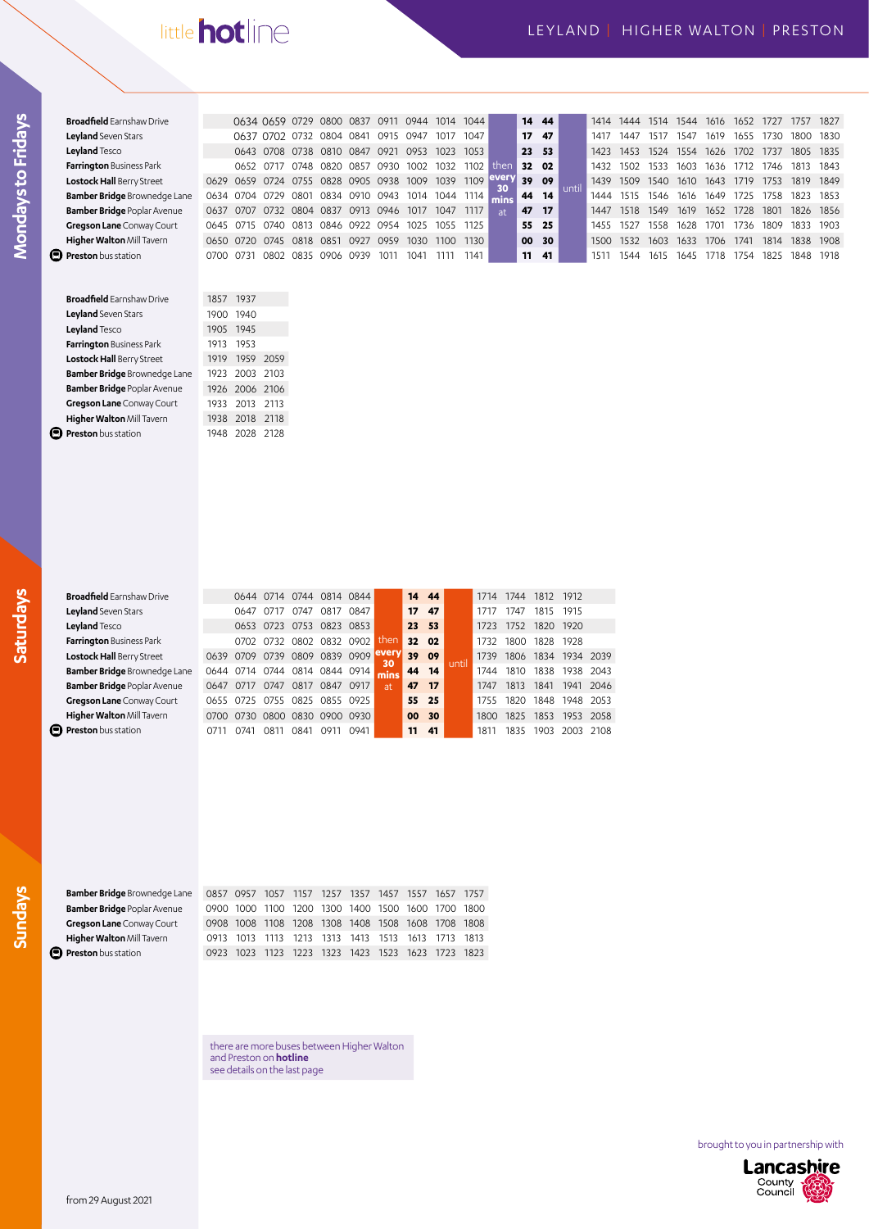# little hot line

| <b>Broadfield</b> Earnshaw Drive    |           |           | 0634 0659 0729           |      | 0800 0837      |           | 0911 | 0944 | 1014 | 1044 |           |       | 14 44            |       | 1414 | 1444 | 1514  | 1544 | 1616  | 1652  | 1727 | 1757      | 1827      |
|-------------------------------------|-----------|-----------|--------------------------|------|----------------|-----------|------|------|------|------|-----------|-------|------------------|-------|------|------|-------|------|-------|-------|------|-----------|-----------|
| Leyland Seven Stars                 |           |           | 0637 0702 0732 0804 0841 |      |                |           | 0915 | 0947 | 1017 | 1047 |           |       | 17 <sub>47</sub> |       | 141  | 1447 | 1517  | 1547 | 1619  | 1655  | 1730 | 1800      | 1830      |
| Leyland Tesco                       |           |           | 0643 0708                | 0738 | 0810           | 0847      | 0921 | 0953 | 1023 | 1053 |           |       | 23 53            |       | 1423 | 1453 | 1524  | 1554 | 1626  | 1702  | 1737 | 1805 1835 |           |
| Farrington Business Park            |           | 0652      | - 0717                   | 0748 | 0820           | 0857      | 0930 | 1002 | 1032 | 1102 | then      |       | 32 02            |       | 1432 | 1502 | 1533  | 1603 | 1636  | 1712  | 1746 | 1813      | 1843      |
| Lostock Hall Berry Street           |           |           | 0629 0659 0724 0755      |      | 0828 0905 0938 |           |      | 1009 | 1039 | 1109 | every     |       | 39 09            |       | 1439 | 1509 | 1540  | 1610 | 1643  | 1719  | 1753 | 1819      | 1849      |
| <b>Bamber Bridge</b> Brownedge Lane |           |           | 0634 0704 0729 0801      |      | 0834 0910 0943 |           |      | 1014 | 044' | 1114 |           |       | 44 14            | until |      | 1515 | 1546. | 1616 | 1649  | 1725  | 1758 | 1823      | 1853      |
| <b>Bamber Bridge Poplar Avenue</b>  | 0637 0707 |           | 0732 0804                |      | 0837           | 0913 0946 |      | 1017 | 1047 | 1117 | <b>at</b> | 47 17 |                  |       | 1447 | 1518 | 1549  | 1619 | 1652  | 1728  | 1801 |           | 1826 1856 |
| Gregson Lane Conway Court           | 0645      | O715      | 0740                     | 0813 | 0846           | 0922 0954 |      | 1025 | 1055 | 1125 |           |       | 55 25            |       | 1455 | 1527 | 1558  | 1628 | 1701  | 1736. | 1809 | 1833      | 1903      |
| Higher Walton Mill Tavern           |           | 0650 0720 | 0745                     | 0818 | 0851           | 0927      | 0959 | 1030 | 1100 | 1130 |           | 00 30 |                  |       | 1500 | 1532 | 1603  | 1633 | 1706  | 1741  | 1814 | 1838      | 1908      |
| <b>Preston</b> bus station          | 0700      | -0731     | 0802                     | 0835 | 0906           | 0939      | 1011 | 1041 |      | 1141 |           |       | $11 \quad 41$    |       | 151  | 1544 | 1615  | 1645 | 1718. | 754   | 1825 | 1848      | 1918      |

| <b>Broadfield</b> Earnshaw Drive    | 1857 | 1937           |      |
|-------------------------------------|------|----------------|------|
| Leyland Seven Stars                 | 1900 | 1940           |      |
| Leyland Tesco                       |      | 1905 1945      |      |
| Farrington Business Park            | 1913 | 1953           |      |
| Lostock Hall Berry Street           | 1919 | 1959           | 2059 |
| <b>Bamber Bridge Brownedge Lane</b> |      | 1923 2003 2103 |      |
| <b>Bamber Bridge Poplar Avenue</b>  |      | 1926 2006 2106 |      |
| Gregson Lane Conway Court           | 1933 | 2013 2113      |      |
| Higher Walton Mill Tavern           | 1938 | 2018           | 2118 |
| Preston bus station                 | 1948 | 2028           | 2128 |
|                                     |      |                |      |

**Mondays to Fridays**

Mondays to Fridays

| <b>Broadfield</b> Earnshaw Drive    |           | 0644 |      | 0714 0744   |           | 0814 0844 |             | 14 | 44   |       | 1714        | 1744 | 1812 1912 |      |      |
|-------------------------------------|-----------|------|------|-------------|-----------|-----------|-------------|----|------|-------|-------------|------|-----------|------|------|
| Leyland Seven Stars                 |           | 0647 |      | 0747        | 0817      | 0847      |             | 17 | 47   |       |             | 1747 | 1815      | 1915 |      |
| Leyland Tesco                       |           | 0653 | 0723 | 0753        |           | 0823 0853 |             | 23 | 53   |       | 1723        | 1752 | 1820      | 1920 |      |
| Farrington Business Park            |           | O7O2 | 0732 | <b>0802</b> | 0832      | 0902      | then        | 32 | 02   |       | 1732        | 1800 | 1828 1928 |      |      |
| Lostock Hall Berry Street           | 0639      | 0709 | 0739 | 0809        | 0839 0909 |           | every<br>30 | 39 | - 09 | until | 1739        | 1806 | 1834      | 1934 | 2039 |
| <b>Bamber Bridge Brownedge Lane</b> | 0644      | 0714 | 0744 | 0814        | 0844 0914 |           | mins        | 44 | 14   |       | 1744        | 1810 | 1838      | 1938 | 2043 |
| <b>Bamber Bridge Poplar Avenue</b>  | 0647      | O717 | 0747 | 0817        | 0847      | 0917      | at.         | 47 | 17   |       | 1747        | 1813 | 1841      | 1941 | 2046 |
| Gregson Lane Conway Court           | 0655      | 0725 | 0755 | 0825        |           | 0855 0925 |             | 55 | 25   |       | 1755        | 1820 | 1848      | 1948 | 2053 |
| Higher Walton Mill Tavern           | 0700 0730 |      | 0800 | 0830        | 0900 0930 |           |             | 00 | 30   |       | <b>1800</b> | 1825 | 1853      | 1953 | 2058 |
| <b>Preston</b> bus station          |           | 0741 | O81  | ೧ጸ41        | O911      | 0941      |             | 11 | 41   |       | 1811        | 1835 | 1903      | 2003 | 2108 |
|                                     |           |      |      |             |           |           |             |    |      |       |             |      |           |      |      |

**Sundays**

| <b>Bamber Bridge Brownedge Lane</b> |      | 0857 0957 1057 1157 1257 1357                     |  |  | 1457 1557 1657 1757                     |      |
|-------------------------------------|------|---------------------------------------------------|--|--|-----------------------------------------|------|
| <b>Bamber Bridge Poplar Avenue</b>  |      | 0900 1000 1100 1200 1300 1400 1500 1600 1700 1800 |  |  |                                         |      |
| Gregson Lane Conway Court           | 0908 | 1008 1108 1208 1308 1408 1508 1608 1708 1808      |  |  |                                         |      |
| Higher Walton Mill Tavern           | 0913 |                                                   |  |  | 1013 1113 1213 1313 1413 1513 1613 1713 | 1813 |
| <b>Preston</b> bus station          |      | 1023                                              |  |  | 1123 1223 1323 1423 1523 1623 1723      | 1823 |

there are more buses between Higher Walton and Preston on **hotline** see details on the last page

brought to you in partnership with

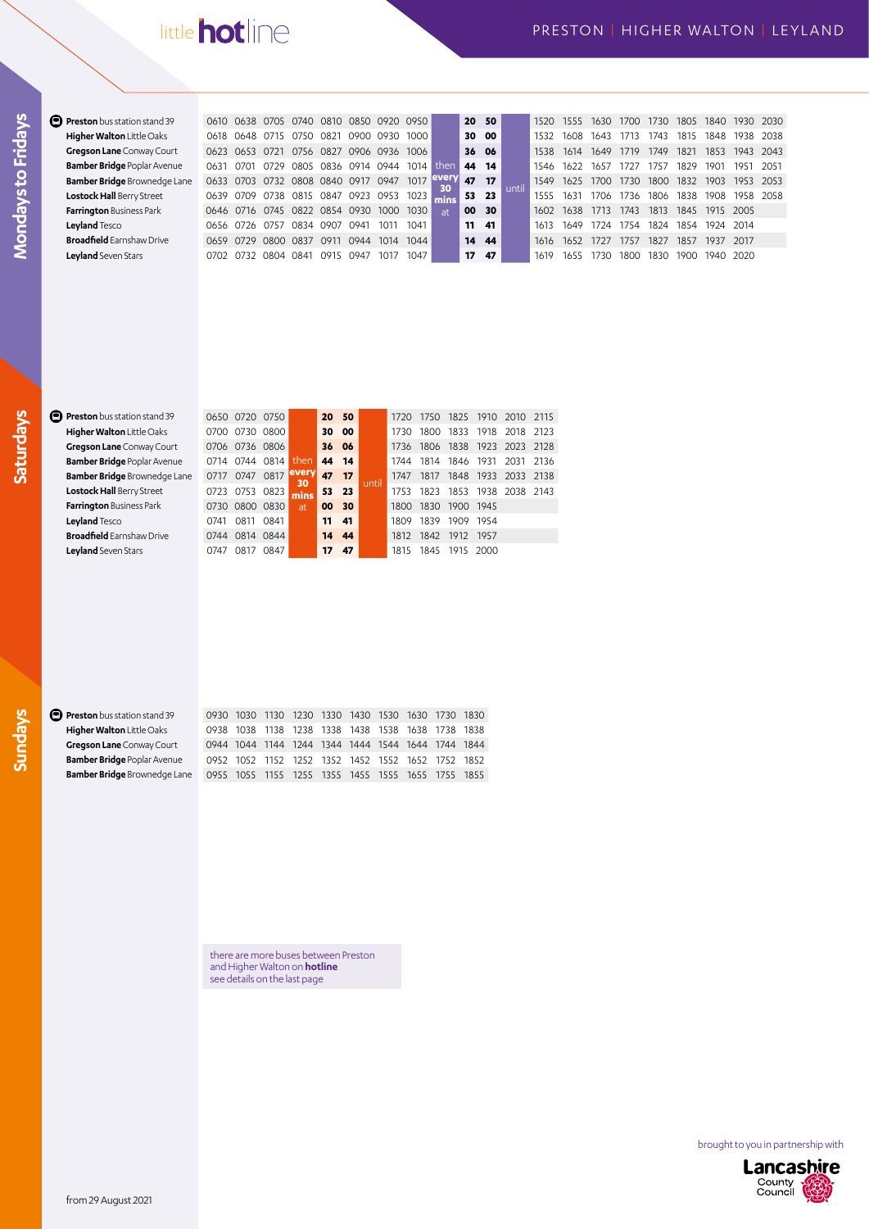# little **hot** line

| Preston bus station stand 39        | 0610 | 0638 0705 0740                |             |       | 0810 | 0850 | 0920 | 0950  |            |                 | 20 50         |       | 1520. | 1555 | 1630  | 1700 | 1730 | 1805. | 1840 |           | 1930 2030 |
|-------------------------------------|------|-------------------------------|-------------|-------|------|------|------|-------|------------|-----------------|---------------|-------|-------|------|-------|------|------|-------|------|-----------|-----------|
| Higher Walton Little Oaks           | 0618 | 0648                          | 0715        | 0750  | 0821 | 0900 | 0930 | 1000  |            |                 | 30 00         |       | 1532  | 1608 | 1643  |      | 1743 | 1815  | 1848 | 1938      | 2038      |
| Gregson Lane Conway Court           | 0623 | <b>0653</b>                   | <u>ດ721</u> | 0756  | 0827 | 0906 | 0936 | 1006  |            |                 | 36 06         |       | 1538  | 1614 | 1649  | 1719 | 1749 | 1821  | 1853 | 1943      | 2043      |
| <b>Bamber Bridge Poplar Avenue</b>  | 0631 | O701                          | 0729        | 0805  | 0836 | 0914 | 0944 | 1014  | then       |                 | 44 14         |       | 1546  | 1622 | 1657  | 1727 | 1757 | 1829  | 190° | 1951      | -2051     |
| <b>Bamber Bridge Brownedge Lane</b> |      | 0633 0703 0732 0808 0840 0917 |             |       |      |      | 0947 | 1017  | ever<br>30 | 47              | 17            | until | 1549  | 1625 | 1700  | 1730 | 1800 | 1832  | 1903 | 1953      | 2053      |
| Lostock Hall Berry Street           | 0639 |                               | 0709 0738   | 0815  | 0847 | 0923 | 0953 | 1023  | mins       |                 | 53 23         |       | 1555  | 1631 | 1706  | 1736 | 1806 | 1838  | 1908 | 1958      | 2058      |
| <b>Farrington Business Park</b>     |      | 0646 0716 0745                |             | 0822  | 0854 | 0930 | 1000 | 1030. | at         | 00              | 30            |       | 1602  | 1638 | 1713  | 1743 | 1813 | 1845  |      | 1915 2005 |           |
| Leyland Tesco                       | 0656 | 0726                          | 0757        | 0834  | 0907 | 0941 | 101  | 1041  |            |                 | $11 \quad 41$ |       | 1613  | 1649 | 1724  | 1754 | 1824 | 1854  |      | 1924 2014 |           |
| <b>Broadfield</b> Earnshaw Drive    |      | 0659 0729                     | 0800        | 0837  | 091  | 0944 | 1014 | 1044  |            |                 | 14 44         |       | 1616  | 1652 | 1727  | 1757 | 1827 | 1857  |      | 1937 2017 |           |
| Leyland Seven Stars                 | O7O2 | 0732                          | 0804        | _0841 | 0915 | 0947 | 1011 | 1047  |            | 17 <sup>7</sup> | -47           |       | 1619  | 1655 | 1730. | 1800 | 1830 | 1900  | 1940 | - 2020    |           |

**Mondays to Fridays**

Mondays to Fridays

#### **Preston** bus station stand 39 **Higher Walton** Little Oaks **Gregson Lane** Conway Court **Bamber Bridge** Poplar Avenue **Bamber Bridge** Brownedge L **Lostock Hall** Berry Street **Farrington Business Park Leyland** Tesco **Broadfield** Earnshaw Drive **Leyland** Seven Stars

|      |                | 0650 0720 0750      |                          | 20 50   |        |      |                     |  | 1720 1750 1825 1910 2010 2115 |  |
|------|----------------|---------------------|--------------------------|---------|--------|------|---------------------|--|-------------------------------|--|
|      |                | 0700 0730 0800      |                          | 30 00   |        |      |                     |  | 1730 1800 1833 1918 2018 2123 |  |
|      |                | 0706 0736 0806      |                          | 36 06   |        |      |                     |  | 1736 1806 1838 1923 2023 2128 |  |
| le.  |                | 0714 0744 0814 then |                          | 44 14   |        |      |                     |  | 1744 1814 1846 1931 2031 2136 |  |
| Lane | 0717 0747 0817 |                     | levery                   | 47 17   |        | 1747 |                     |  | 1817 1848 1933 2033 2138      |  |
|      |                | 0723 0753 0823      | $\frac{30}{\text{mins}}$ | 53 23   | ıuntil |      |                     |  | 1753 1823 1853 1938 2038 2143 |  |
|      |                | 0730 0800 0830      | at.                      | 00 30   |        |      | 1800 1830 1900 1945 |  |                               |  |
|      |                | 0741 0811 0841      |                          | $11$ 41 |        |      | 1809 1839 1909 1954 |  |                               |  |
|      |                | 0744 0814 0844      |                          | 14 44   |        |      | 1812 1842 1912 1957 |  |                               |  |
|      |                | 0747 0817 0847      |                          | 17, 47  |        |      | 1815 1845 1915 2000 |  |                               |  |

# **Sundays**  $\bullet$

| <b>Preston</b> bus station stand 39 |  |  | 0930 1030 1130 1230 1330 1430 1530 1630 1730 1830 |  |  |
|-------------------------------------|--|--|---------------------------------------------------|--|--|
| Higher Walton Little Oaks           |  |  | 0938 1038 1138 1238 1338 1438 1538 1638 1738 1838 |  |  |
| Gregson Lane Conway Court           |  |  | 0944 1044 1144 1244 1344 1444 1544 1644 1744 1844 |  |  |
| <b>Bamber Bridge Poplar Avenue</b>  |  |  | 0952 1052 1152 1252 1352 1452 1552 1652 1752 1852 |  |  |
| <b>Bamber Bridge</b> Brownedge Lane |  |  | 0955 1055 1155 1255 1355 1455 1555 1655 1755 1855 |  |  |

there are more buses between Preston and Higher Walton on **hotline** see details on the last page

brought to you in partnership with